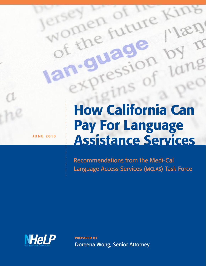How California Can Pay For Language Assistance Services

Recommendations from the Medi-Cal Language Access Services (mclas) Task Force



**JUNE 2010** 

prepared by Doreena Wong, Senior Attorney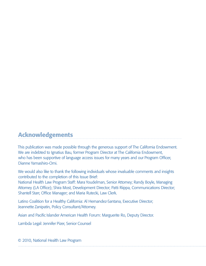# Acknowledgements

This publication was made possible through the generous support of The California Endowment. We are indebted to Ignatius Bau, former Program Director at The California Endowment, who has been supportive of language access issues for many years and our Program Officer, Dianne Yamashiro-Omi.

We would also like to thank the following individuals whose invaluable comments and insights contributed to the completion of this Issue Brief:

National Health Law Program Staff: Mara Youdelman, Senior Attorney; Randy Boyle, Managing Attorney (LA Office); Shira Most, Development Director; Patti Riippa, Communications Director; Shantell Starr, Office Manager; and Maria Rutecki, Law Clerk.

Latino Coalition for a Healthy California: Al Hernandez-Santana, Executive Director; Jeannette Zanipatin, Policy Consultant/Attorney.

Asian and Pacific Islander American Health Forum: Marguerite Ro, Deputy Director.

Lambda Legal: Jennifer Pizer, Senior Counsel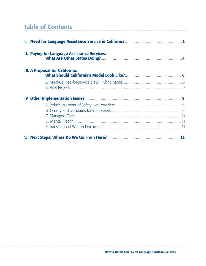# Table of Contents

| 1. Need for Language Assistance Service in California <b>Manual Accepts</b> 2         |  |  |  |  |
|---------------------------------------------------------------------------------------|--|--|--|--|
| <b>II. Paying for Language Assistance Services:</b><br>What Are Other States Doing? 4 |  |  |  |  |
| <b>III. A Proposal for California:</b>                                                |  |  |  |  |
|                                                                                       |  |  |  |  |
|                                                                                       |  |  |  |  |
|                                                                                       |  |  |  |  |
|                                                                                       |  |  |  |  |
|                                                                                       |  |  |  |  |
|                                                                                       |  |  |  |  |
|                                                                                       |  |  |  |  |
|                                                                                       |  |  |  |  |
|                                                                                       |  |  |  |  |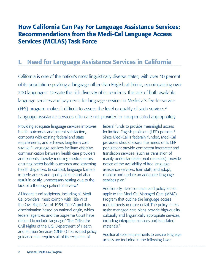# How California Can Pay For Language Assistance Services: Recommendations from the Medi-Cal Language Access Services (MCLAS) Task Force

# I. Need for Language Assistance Services in California

California is one of the nation's most linguistically diverse states, with over 40 percent of its population speaking a language other than English at home, encompassing over 200 languages.<sup>1</sup> Despite the rich diversity of its residents, the lack of both available language services and payments for language services in Medi-Cal's fee-for-service (FFS) program makes it difficult to assess the level or quality of such services.<sup>2</sup> Language assistance services often are not provided or compensated appropriately.

Providing adequate language services improves health outcomes and patient satisfaction, comports with existing federal and state requirements, and achieves long-term cost savings.<sup>3</sup> Language services facilitate effective communication between health care providers and patients, thereby reducing medical errors, ensuring better health outcomes and lessening health disparities. In contrast, language barriers impede access and quality of care and also result in costly, unnecessary testing due to the lack of a thorough patient interview.<sup>4</sup>

All federal fund recipients, including all Medi-Cal providers, must comply with Title VI of the Civil Rights Act of 1964. Title VI prohibits discrimination based on national origin, which federal agencies and the Supreme Court have defined to include language.<sup>5</sup> The Office for Civil Rights of the U.S. Department of Health and Human Services (DHHS) has issued policy guidance that requires all of its recipients of

federal funds to provide meaningful access for limited-English proficient (LEP) persons.<sup>6</sup> Since Medi-Cal is federally funded, Medi-Cal providers should assess the needs of its LEP population; provide competent interpreter and translation services (such as translation of readily understandable print materials); provide notice of the availability of free languageassistance services; train staff; and adopt, monitor and update an adequate language services plan.<sup>7</sup>

Additionally, state contracts and policy letters apply to the Medi-Cal Managed Care (MMC) Program that outline the language access requirements in more detail. The policy letters assist managed care plans provide high-quality, culturally and linguistically appropriate services, including interpreter services and translated materials<sup>8</sup>

Additional state requirements to ensure language access are included in the following laws: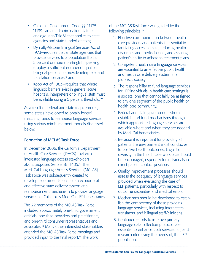- California Government Code §§ 11135– 11139—an anti-discrimination statute analogous to Title VI that applies to state agencies and state-funded entities;
- Dymally-Alatorre Bilingual Services Act of 1973—requires that all state agencies that provide services to a population that is 5 percent or more non-English speaking employ a sufficient number of qualified bilingual persons to provide interpreter and translation services;<sup>9</sup> and
- Kopp Act of 1983—requires that where linguistic barriers exist in general acute hospitals, interpreters or bilingual staff must be available using a 5 percent threshold.<sup>10</sup>

As a result of federal and state requirements, some states have opted to obtain federal matching funds to reimburse language services using various reimbursement models discussed below.<sup>11</sup>

## Formation of MCLAS Task Force

In December 2006, the California Department of Health Care Services (DHCS) met with interested language access stakeholders about proposed Senate Bill 1405.<sup>12</sup> The Medi-Cal Language Access Services (MCLAS) Task Force was subsequently created to develop recommendations for an economical and effective state delivery system and reimbursement mechanism to provide language services for California's Medi-Cal LEP beneficiaries.

The 22 members of the MCLAS Task Force included approximately one-third government officials, one-third providers and practitioners, and one-third consumer representatives and advocates.<sup>13</sup> Many other interested stakeholders attended the MCLAS Task Force meetings and provided input to the final report.14 The work

of the MCLAS Task force was guided by the following principles:<sup>15</sup>

- 1. Effective communication between health care providers and patients is essential to facilitating access to care, reducing health disparities and medical errors, and assuring a patient's ability to adhere to treatment plans.
- 2. Competent health care language services are essential to an effective public health and health care delivery system in a pluralistic society.
- 3. The responsibility to fund language services for LEP individuals in health care settings is a societal one that cannot fairly be assigned to any one segment of the public health or health care community.
- 4. Federal and state governments should establish and fund mechanisms through which appropriate language services are available where and when they are needed by Medi-Cal beneficiaries.
- 5. Because it is important for providing all patients the environment most conducive to positive health outcomes, linguistic diversity in the health care workforce should be encouraged, especially for individuals in direct patient contact positions.
- 6. Quality improvement processes should assess the adequacy of language services provided when evaluating the care of LEP patients, particularly with respect to outcome disparities and medical errors.
- 7. Mechanisms should be developed to establish the competency of those providing language services, including interpreters, translators, and bilingual staff/clinicians.
- 8. Continued efforts to improve primary language data collection protocols are essential to enhance both services for, and research identifying the needs of, the LEP population.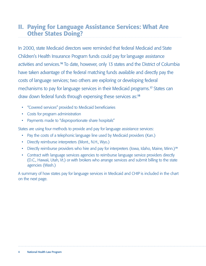# II. Paying for Language Assistance Services: What Are Other States Doing?

In 2000, state Medicaid directors were reminded that federal Medicaid and State Children's Health Insurance Program funds could pay for language assistance activities and services.<sup>16</sup> To date, however, only 13 states and the District of Columbia have taken advantage of the federal matching funds available and directly pay the costs of language services; two others are exploring or developing federal mechanisms to pay for language services in their Medicaid programs.<sup>17</sup> States can draw down federal funds through expensing these services as:<sup>18</sup>

- "Covered services" provided to Medicaid beneficiaries
- Costs for program administration
- Payments made to "disproportionate share hospitals"

States are using four methods to provide and pay for language assistance services:

- Pay the costs of a telephonic language line used by Medicaid providers (Kan.)
- Directly reimburse interpreters (Mont., N.H., Wyo.)
- Directly reimburse providers who hire and pay for interpreters (Iowa, Idaho, Maine, Minn.)<sup>19</sup>
- Contract with language services agencies to reimburse language service providers directly (D.C., Hawaii, Utah, Vt.) or with brokers who arrange services and submit billing to the state agencies (Wash.)

A summary of how states pay for language services in Medicaid and CHIP is included in the chart on the next page.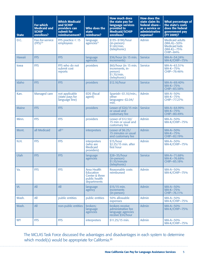| <b>State</b>  | <b>For which</b><br><b>Medicaid and</b><br><b>SCHIP</b><br>enrollees? | <b>Which Medicaid</b><br>and SCHIP<br>providers can<br>submit for<br>reimbursement? | <b>Who does the</b><br>state<br>reimburse?                                               | <b>How much does</b><br>the state pay for<br>language services<br>provided to<br>Medicaid/SCHIP<br>enrollees? | <b>How does the</b><br>state claim its<br>federal share-<br>as a service or<br>administrative<br>expense? | <b>What percentage of</b><br>the state's costs<br>does the federal<br>government pay<br>(FY 2009)? |
|---------------|-----------------------------------------------------------------------|-------------------------------------------------------------------------------------|------------------------------------------------------------------------------------------|---------------------------------------------------------------------------------------------------------------|-----------------------------------------------------------------------------------------------------------|----------------------------------------------------------------------------------------------------|
| D.C.          | Fee-for-service<br>$(FFS)^{20}$                                       | FFS practice $<$ 15<br>employees                                                    | language<br>agencies <sup>21</sup>                                                       | \$135-\$190/hour<br>(in-person)<br>\$1.60/min.<br>(telephonic)                                                | <b>Admin</b>                                                                                              | <b>Medicaid adults</b><br>$(MA-A)-50%$<br><b>Medicaid kids</b><br>$(MA-K)-75%$<br><b>CHIP-84%</b>  |
| <b>Hawaii</b> | <b>FFS</b>                                                            | <b>FFS</b>                                                                          | language<br>agencies                                                                     | \$36/hour (in 15 min.<br>increments)                                                                          | <b>Service</b>                                                                                            | MA-A-54.24%<br>MA-K/CHIP-75%                                                                       |
| lowa          | <b>FFS</b>                                                            | FFS who do not<br>submit cost<br>reports                                            | providers                                                                                | \$60/hour (in 15 min.<br>increments, in-<br>person)<br>\$1.70/min.<br>(telephonic)                            | <b>Service</b>                                                                                            | MA-A-63.51%<br>MA-K-75%<br>CHIP-79.46%                                                             |
| Idaho         | <b>FFS</b>                                                            | <b>FFS</b>                                                                          | providers                                                                                | \$12.16/hour                                                                                                  | <b>Service</b>                                                                                            | MA-A-69.40%<br>MA-K-75%<br>CHIP-83.58%                                                             |
| Kan.          | Managed care                                                          | not applicable<br>(state pays for<br>language line)                                 | <b>EDS</b> (fiscal<br>agent)                                                             | Spanish-\$1.10/min.;<br>other<br>languages-\$2.04/<br>min.                                                    | <b>Admin</b>                                                                                              | MA-A-50%<br>MA-K-75%<br>CHIP-77.27%                                                                |
| Maine         | <b>FFS</b>                                                            | <b>FFS</b>                                                                          | providers                                                                                | Lesser of \$20/15 min<br>or usual and<br>customary fee                                                        | <b>Service</b>                                                                                            | MA-A-64.99%<br>MA-K-75%<br>CHIP-80.49%                                                             |
| Minn.         | <b>FFS</b>                                                            | <b>FFS</b>                                                                          | providers                                                                                | Lesser of \$12.50/<br>15 min or usual and<br>customary fee                                                    | <b>Admin</b>                                                                                              | MA-A-50%<br>MA-K/CHIP-75%                                                                          |
| Mont.         | all Medicaid                                                          | all <sup>22</sup>                                                                   | interpreters                                                                             | Lesser of \$6.25/<br>15 minutes or usual<br>and customary fee                                                 | <b>Admin</b>                                                                                              | MA-A-50%<br>MA-K-75%<br>CHIP-82.19%                                                                |
| N.H.          | <b>FFS</b>                                                            | <b>FFS</b>                                                                          | interpreters<br>(who are<br><b>Medicaid</b><br>providers)                                | \$15/hour<br>\$2.25/15 min. after<br>first hour                                                               | <b>Admin</b>                                                                                              | MA-A-50%<br>MA-K/CHIP-75%                                                                          |
| Utah          | <b>FFS</b>                                                            | <b>FFS</b>                                                                          | language<br>agencies                                                                     | \$28-35/hour<br>(in-person)<br>$$1.10/m$ in ute<br>(telephonic)                                               | <b>Service</b>                                                                                            | MA-A-71.68%<br>MA-K-76.68%<br>CHIP-85.18%                                                          |
| Va.           | <b>FFS</b>                                                            | <b>FFS</b>                                                                          | <b>Area Health</b><br><b>Education</b><br>Center & three<br>public health<br>departments | Reasonable costs<br>reimbursed                                                                                | Admin                                                                                                     | MA-A-50%<br>MA-K/CHIP-75%                                                                          |
| Vt.           | All                                                                   | All                                                                                 | language<br>agency                                                                       | $$15/15$ min.<br><i>increments</i><br>(in-person)                                                             | <b>Admin</b>                                                                                              | MA-A-50%<br>MA-K-75%<br>CHIP-76.11%                                                                |
| Wash.         | All                                                                   | public entities                                                                     | public entities                                                                          | 50% allowable<br>expenses                                                                                     | <b>Admin</b>                                                                                              | MA-A-50%<br>MA-K/CHIP-75%                                                                          |
| Wash.         | All                                                                   | non-public entities                                                                 | brokers;<br>language<br>agencies                                                         | brokers receive<br>administrative fee<br>language agencies<br>receive \$34/hour                               | <b>Admin</b>                                                                                              | MA-A-50%<br>MA-K/CHIP-75%                                                                          |
| <b>WY</b>     | <b>FFS</b>                                                            | <b>FFS</b>                                                                          | interpreters                                                                             | \$11.25/15 min.                                                                                               | <b>Admin</b>                                                                                              | MA-A-50%<br>MA-K/CHIP-75%                                                                          |

The MCLAS Task Force discussed the advantages and disadvantages in each system to determine which model(s) would be appropriate for California.<sup>23</sup>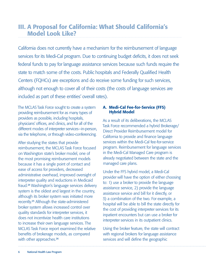# III. A Proposal for California: What Should California's Model Look Like?

California does not currently have a mechanism for the reimbursement of language services for its Medi-Cal program. Due to continuing budget deficits, it does not seek federal funds to pay for language assistance services because such funds require the state to match some of the costs. Public hospitals and Federally Qualified Health Centers (FQHCs) are exceptions and do receive some funding for such services, although not enough to cover all of their costs (the costs of language services are included as part of these entities' overall rates).

The MCLAS Task Force sought to create a system providing reimbursement for as many types of providers as possible, including hospitals, physicians' offices, and clinics, and for all of the different modes of interpreter services—in-person, via the telephone, or through video-conferencing.

After studying the states that provide reimbursement, the MCLAS Task Force focused on Washington state's broker model, one of the most promising reimbursement models because it has a single point of contact and ease of access for providers, decreased administrative overhead, improved oversight of interpreter quality and reductions in Medicaid fraud.<sup>24</sup> Washington's language services delivery system is the oldest and largest in the country, although its broker system was initiated more recently.<sup>25</sup> Although the state-administered broker system allows increased control over quality standards for interpreter services, it does not incentivize health care institutions to increase their own language services. The MCLAS Task Force report examined the relative benefits of brokerage models, as compared with other approaches.<sup>26</sup>

### A. Medi-Cal Fee-for-Service (FFS) Hybrid Model

As a result of its deliberations, the MCLAS Task Force recommended a hybrid Brokerage/ Direct Provider Reimbursement model for California to provide and finance language services within the Medi-Cal fee-for-service program. Reimbursement for language services in the Medi-Cal Managed Care program is already negotiated between the state and the managed care plans.

Under the FFS hybrid model, a Medi-Cal provider will have the option of either choosing to: 1) use a broker to provide the language assistance service, 2) provide the language assistance service and bill for it directly, or 3) a combination of the two. For example, a hospital will be able to bill the state directly for the cost of providing interpreter services for its inpatient encounters but can use a broker for interpreter services in its outpatient clinics.

Using the broker feature, the state will contract with regional brokers for language assistance services and will define the geographic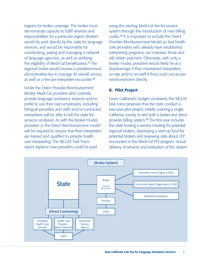regions for broker coverage. The broker must demonstrate capacity to fulfill services and responsibilities for a particular region. Brokers would be paid directly by the state for language services, and would be responsible for coordinating, paying and managing a network of language agencies, as well as verifying the eligibility of Medi-Cal beneficiaries.<sup>27</sup> The regional broker would receive a predetermined administrative fee to manage its overall service, as well as a fee-per-interpreter encounter. 28

Under the Direct Provider Reimbursement Model, Medi-Cal providers who currently provide language assistance services and/or prefer to use their own employees, including bilingual providers and staff, and/or contracted interpreters will be able to bill the state for services rendered. As with the Broker model, providers in the Direct Reimbursement model will be required to ensure that their interpreters are trained and qualified to provide health care interpreting. The MCLAS Task Force report explains how providers could be paid

using the existing Medi-Cal fee-for-service system through the introduction of new billing codes.<sup>29</sup> It is important to include the Direct Provider Reimbursement Model so that health care providers who already have established interpreting programs can maintain those and still obtain payment. Otherwise, with only a broker model, providers would likely be at a disadvantage if they maintained interpreters on-site and/or on-staff if they could not access reimbursement directly.

## B. Pilot Project

Given California's budget constraints, the MCLAS Task Force proposes that the state conduct a two-year pilot project, initially covering a single California county, to test both a broker and direct provider billing system.<sup>30</sup> The first year includes the state hosting a vendor meeting for potential regional brokers, developing a start-up fund for potential brokers and reviewing data about LEP encounters in the Medi-Cal FFS program. Actual delivery of services and evaluation of the system

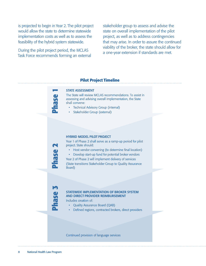is projected to begin in Year 2. The pilot project would allow the state to determine statewide implementation costs as well as to assess the feasibility of the hybrid system statewide.

During the pilot project period, the MCLAS Task Force recommends forming an external

stakeholder group to assess and advise the state on overall implementation of the pilot project, as well as to address contingencies that may arise. In order to assure the continued viability of the broker, the state should allow for a one-year extension if standards are met.

### Pilot Project Timeline

#### **STATE ASSESSMENT**

The State will review MCLAS recommendations. To assist in assessing and advising overall implementation, the State shall convene:

- Technical Advisory Group (internal)
- Stakeholder Group (external)

#### **HYBRID MODEL PILOT PROJECT**

Year 1 of Phase 2 shall serve as a ramp-up period for pilot project. State should:

- Host vendor convening (to determine final location)
- Develop start-up fund for potential broker vendors

Year 2 of Phase 2 will implement delivery of services (State transitions Stakeholder Group to Quality Assurance Board)

**BSPI** 

#### STATEWIDE IMPLEMENTATION OF BROKER SYSTEM AND DIRECT PROVIDER REIMBURSEMENT

Includes creation of:

- Quality Assurance Board (QAB)
- Defined regions, contracted brokers, direct providers

Continued provision of language services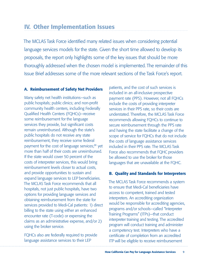# IV. Other Implementation Issues

The MCLAS Task Force identified many related issues when considering potential language services models for the state. Given the short time allowed to develop its proposals, the report only highlights some of the key issues that should be more thoroughly addressed when the chosen model is implemented. The remainder of this Issue Brief addresses some of the more relevant sections of the Task Force's report.

## A. Reimbursement of Safety Net Providers

Many safety net health institutions—such as public hospitals; public clinics; and non-profit community health centers, including Federally Qualified Health Centers (FQHCs)—receive some reimbursement for the language services they provide, but significant costs remain unreimbursed. Although the state's public hospitals do not receive any state reimbursement, they receive some federal payment for the cost of language services;<sup>31</sup> yet more than half of their costs are unreimbursed. If the state would cover 50 percent of the costs of interpreter services, this would bring reimbursement levels closer to actual costs, and provide opportunities to sustain and expand language services to LEP beneficiaries. The MCLAS Task Force recommends that all hospitals, not just public hospitals, have two options for providing language services and obtaining reimbursement from the state for services provided to Medi-Cal patients: 1) direct billing to the state using either an enhanced encounter rate (T-code) or expensing the claims as an administrative expense, and/or 2) using the broker service.

FQHCs also are federally required to provide language assistance services to their LEP

patients, and the cost of such services is included in an all-inclusive prospective payment rate (PPS). However, not all FQHCs include the costs of providing interpreter services in their PPS rate, so their costs are understated. Therefore, the MCLAS Task Force recommends allowing FQHCs to continue to secure reimbursement through the PPS rate and having the state facilitate a change of the scope of service for FQHCs that do not include the costs of language assistance services included in their PPS rate. The MCLAS Task Force also recommends that FQHC providers be allowed to use the broker for those languages that are unavailable at the FQHC.

## B. Quality and Standards for Interpreters

The MCLAS Task Force recommends a system to ensure that Medi-Cal beneficiaries have access to competent, trained and tested interpreters. An accrediting organization would be responsible for accrediting agencies, programs and/or schools—called "Interpreter Training Programs" (ITPs)—that conduct interpreter training and testing. The accredited program will conduct training and administer a competency test. Interpreters who have a certificate of completion from an accredited ITP will be eligible to receive reimbursement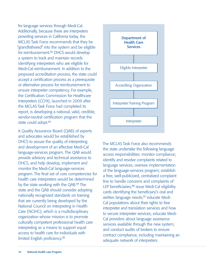for language services through Medi-Cal. Additionally, because there are interpreters providing services in California today, the MCLAS Task Force recommends that they be "grandfathered" into the system and be eligible for reimbursement.<sup>32</sup> DHCS would develop a system to track and maintain records identifying interpreters who are eligible for Medi-Cal reimbursement. In addition to the proposed accreditation process, the state could accept a certification process as a prerequisite or alternative process for reimbursement to ensure interpreter competency. For example, the Certification Commission for Healthcare Interpreters (CCHI), launched in 2009 after the MCLAS Task Force had completed its report, is developing a national, valid, credible, vendor-neutral certification program that the state could adopt.<sup>33</sup>

A Quality Assurance Board (QAB) of experts and advocates would be established by DHCS to assure the quality of interpreting and development of an effective Medi-Cal language-services program. The QAB would provide advisory and technical assistance to DHCS, and help develop, implement and monitor the Medi-Cal language-services program. The final set of core competencies for health care interpreters would be determined by the state working with the QAB.<sup>34</sup> The state and the QAB should consider adopting nationally recognized standards on training that are currently being developed by the National Council on Interpreting in Health Care (NCIHC), which is a multidisciplinary organization whose mission is to promote culturally competent professional health care interpreting as a means to support equal access to health care for individuals with limited English proficiency.<sup>35</sup>



The MCLAS Task Force also recommends the state undertake the following language access responsibilities: monitor compliance; identify and resolve complaints related to language services; oversee implementation of the language-services program; establish a free, well-publicized, centralized complaint line to handle concerns and complaints of LEP beneficiaries;<sup>36</sup> issue Medi-Cal eligibility cards identifying the beneficiary's oral and written language needs;<sup>37</sup> educate Medi-Cal populations about their rights to free interpreter and translation services and how to secure interpreter services; educate Medi-Cal providers about language assistance services available through the new system; and conduct audits of brokers to ensure contract compliance, including maintaining an adequate network of interpreters.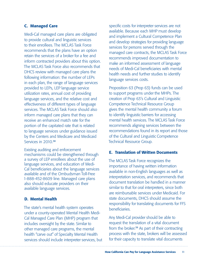### C. Managed Care

Medi-Cal managed care plans are obligated to provide cultural and linguistic services to their enrollees. The MCLAS Task Force recommends that the plans have an option retain the services of a broker for a fee and inform contracted providers about this option. The MCLAS Task Force also recommends that DHCS review with managed care plans the following information: the number of LEPs in each plan, the range of language services provided to LEPs, LEP language service utilization rates, annual cost of providing language services, and the relative cost and effectiveness of different types of language services. The MCLAS Task Force should also inform managed care plans that they can receive an enhanced match rate for the portion of the capitated rate that is related to language services under guidance issued by the Centers and Medicare and Medicaid Services in 2010.<sup>38</sup>

Existing auditing and enforcement mechanisms could be strengthened through a survey of LEP enrollees about the use of language services, and education of Medi-Cal beneficiaries about the language services available and of the Ombudsman Toll-Free 1-888-452-8609 line. Managed care plans also should educate providers on their available language services.

### D. Mental Health

The state's mental health system operates under a county-operated Mental Health Medi-Cal Managed Care Plan (MHP) program that includes oversight by the state. Similar to other managed care programs, the mental health "carve out" of Specialty Mental Health services should include interpreter services, but specific costs for interpreter services are not available. Because each MHP must develop and implement a Cultural Competence Plan and develop strategies for providing language services for persons served through the managed care contracts, the MCLAS Task Force recommends improved documentation to make an informed assessment of language needs of Medi-Cal beneficiaries with mental health needs and further studies to identify language services costs.

Proposition 63 (Prop 63) funds can be used to support programs under the MHPs. The creation of Prop 63's Cultural and Linguistic Competence Technical Resource Group gives the mental health community a forum to identify linguistic barriers for accessing mental health services. The MCLAS Task Force recommends aligning services between the recommendations found in its report and those of the Cultural and Linguistic Competence Technical Resource Group.

### E. Translation of Written Documents

The MCLAS Task Force recognizes the importance of having written information available in non-English languages as well as interpretation services, and recommends that document translation be handled in a manner similar to that for oral interpreters, since both are reimbursable services under Medicaid. For state documents, DHCS should assume the responsibility for translating documents for FFS beneficiaries.

Any Medi-Cal provider should be able to request the translation of a vital document from the broker.<sup>39</sup> As part of their contracting process with the state, brokers will be assessed for their capacity to translate vital documents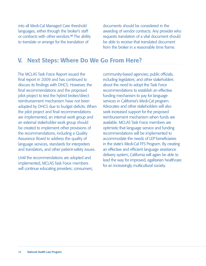into all Medi-Cal Managed Care threshold languages, either through the broker's staff or contracts with other vendors.<sup>40</sup> The ability to translate or arrange for the translation of

documents should be considered in the awarding of vendor contracts. Any provider who requests translation of a vital document should be able to receive that translated document from the broker in a reasonable time frame.

## V. Next Steps: Where Do We Go From Here?

The MCLAS Task Force Report issued the final report in 2009 and has continued to discuss its findings with DHCS. However, the final recommendations and the proposed pilot project to test the hybrid broker/direct reimbursement mechanism have not been adopted by DHCS due to budget deficits. When the pilot project and final recommendations are implemented, an internal work group and an external stakeholder work group should be created to implement other provisions of the recommendations, including a Quality Assurance Board to address the quality of language services, standards for interpreters and translators, and other patient-safety issues.

Until the recommendations are adopted and implemented, MCLAS Task Force members will continue educating providers; consumers; community-based agencies; public officials, including legislators; and other stakeholders about the need to adopt the Task Force recommendations to establish an effective funding mechanism to pay for language services in California's Medi-Cal program. Advocates and other stakeholders will also seek increased support for the proposed reimbursement mechanism when funds are available. MCLAS Task Force members are optimistic that language service and funding recommendations will be implemented to accommodate the needs of LEP beneficiaries in the state's Medi-Cal FFS Program. By creating an effective and efficient language assistance delivery system, California will again be able to lead the way for improved, egalitarian healthcare for an increasingly multicultural society.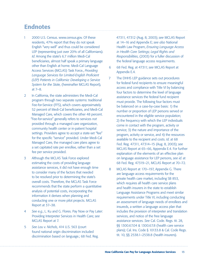# **Endnotes**

- 1 2000 U.S. Census. www.census.gov. Of these residents, 47% report that they do not speak English "very well" and thus could be considered LEP (representing just over 20% of all Californians). *Id*. Among the state's 6.7 million Medi-Cal beneficiaries, almost half speak a primary language other than English at home. Medi-Cal Language Access Services (MCLAS) Task Force., *Providing Language Services for Limited-English Proficient (LEP) Patients in California: Developing a Service System for the State*, (hereinafter MCLAS Report), at 7–8.
- 2 In California, the state administers the Medi-Cal program through two separate systems: traditional Fee-for-Service (FFS), which covers approximately 52 percent of Medi-Cal beneficiaries, and Medi-Cal Managed Care, which covers the other 48 percent. "Fee-for-service" generally refers to services *not* provided through a managed care organization, community health center or in-patient hospital settings. Providers agree to accept a state-set "fee" for the specific "service" provided. Under Medi-Cal Managed Care, the managed care plans agree to a set capitated rate per enrollee, rather than a set fee per service provided.
- 3 Although the MCLAS Task Force explored estimating the costs of providing language assistance services, it did not have enough time to consider many of the factors that needed to be resolved prior to determining the state's overall costs. Therefore, the MCLAS Task Force recommends that the state perform a quantitative analysis of potential costs, incorporating the information it derives when planning and conducting one or more pilot projects. MCLAS Report at 37–38.
- 4 *See e.g.*, L. Ku and G. Flores. Pay Now or Pay Later: Providing Interpreter Services in Health Care; *see* MCLAS Report at 7.
- 5 *See Lau v. Nichols*, 414 U.S. 563 (court found national origin discrimination included discrimination based on language.; 68 Fed. Reg.

47311, 47312 (Aug. 8, 2003); *see* MCLAS Report at 14–16 and Appendix E; *see also* National Health Law Program, *Ensuring Language Access in Health Care Settings; Legal Rights and Responsibilities*, (2003) for a fuller discussion of the federal language access requirements.

- 6 68 Fed. Reg. at 47311; *see* MCLAS Report at Appendix E.4.
- 7 The DHHS LEP guidance sets out procedures for federal fund recipients to ensure meaningful access and compliance with Title VI by balancing four factors to determine the level of language assistance services the federal fund recipient must provide. The following four factors must be balanced on a case-by-case basis: 1) the number or proportion of LEP persons served or encountered in the eligible service population; 2) the frequency with which the LEP individuals come in contact with the program, activity or service; 3) the nature and importance of the program, activity or service, and 4) the resources available to the recipient and costs. *Id*. at 68 Fed. Reg. 47311, 47314–15 (Aug. 8, 2003); *see* MCLAS Report at 65–66, Appendix E.4. For further explanation of the elements of an effective plan on language assistance for LEP persons, *see id*. at 68 Fed. Reg. 47319–21, MCLAS Report at 70–72.
- 8 MCLAS Report at 170–197, Appendix G. There are language access requirements for the private health care market, including SB 853, which requires all health care service plans and health insurers in the state to establish Language Assistance Programs and meet similar requirements under Title VI, including conducting an assessment of language needs of enrollees and insureds, a written a language access plan that includes the provision of interpreter and translation services, and notice of the free language assistance services. *See* Cal. Code. Regs. tit. 28, §§ 1300.67.04 & 1300.67.8 (health care service plans); Cal. Ins. Code § 10133.8 & Cal. Code Regs. tit. 10, §§ 2538.1–2538.8 (health insurers).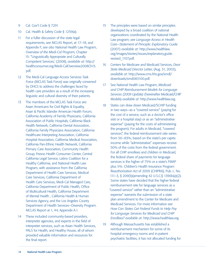- 9 Cal. Gov't Code § 7291
- 10 Cal. Health & Safety Code § 1259(a).
- 11 For a fuller discussion of the state legal requirements, *see* MCLAS Report, at 17–18, and Appendix F; *see also* National Health Law Program, *Overview of the Medi-Cal Program*, Chapter 15: "Linguistically Appropriate and Culturally Competent Services,' (2008), *available at*: http:// healthconsumer.org/Medi-CalOverview2008Ch15. pdf.
- 12 The Medi-Cal Language Access Services Task Force (MCLAS Task Force) was originally convened by DHCS to address the challenges faced by health care providers as a result of the increasing linguistic and cultural diversity of their patients.
- 13 The members of the MCLAS Task Force are: Asian Americans for Civil Rights & Equality, Asian & Pacific Islander American Health Forum, California Academy of Family Physicians, California Association of Public Hospitals, California Black Health Network, California Dental Association, California Family Physicians Association, California Healthcare Interpreting Association, California Hospital Association, California Medical Association, California Pan-Ethnic Health Network, California Primary Care Association, Community Health Group, Fresno Health Consumer Center, Central California Legal Service, Latino Coalition for a Healthy California, and National Health Law Program, with assistance from the California Department of Health Care Services, Medical Care Services, California Department of Health Care Services, Medi-Cal Managed Care, California Department of Public Health, Office of Multicultural Health, California Department of Mental Health , California Health & Human Services Agency, and the Los Angeles County Department of Health Services—Diversity Program. MCLAS Report at 1, 44, Appendix A.1.
- 14 These included community-based providers, interpreter agencies, and experts in the field of interpreter services, such as Asian Health Services, PALS for Health, and Healthy House, all of whom provided valuable information and resources for the final report.
- 15 The principles were based on similar principles developed by a broad coalition of national organizations coordinated by the National Health Law program; *see Language Access in Health Care—Statement of Principle: Explanatory Guide* (2007) *available at*: http://www.healthlaw. org/images/stories/issues/explanatory.guide. revised\_1107.pdf.
- 16 Centers for Medicare and Medicaid Services, *Dear State Medicaid Director Letter*, (Aug. 31, 2003), *available at*: http://www.cms.hhs.gov/smdl/ downloads/smd083100.pdf.
- 17 See National Health Law Program, *Medicaid and CHIP Reimbursement Models for Language Services (2009 Update)* (hereinafter Medicaid/CHIP Models) *available at*: http://www.healthlaw.org.
- 18 States can draw down Medicaid/SCHIP funding in two ways—as a "covered service" (paying for the cost of a service, such as a doctor's office visit or a hospital stay) or as an "administrative expense" (paying for the costs of administering the program). For adults in Medicaid, "covered services", the federal reimbursement rate varies from 50–83%, based on the state's per capita income while "administrative" expenses receive 50% of the costs from the federal government. For all CHIP enrollees and children in Medicaid, the federal share of payments for language services is the higher of 75% or a state's FMAP plus 5%. Children's Health Insurance Program Reauthorization Act of 2009 (CHIPRA), Pub. L. No. 111–3, § 209(b)(amending 42 U.S.C.§ 1396b(a)(2). Some states have decided that the higher federal reimbursement rate for language services as a "covered service" rather than an "administrative expense" warrants the submission of a state plan amendment to the Center for Medicare and Medicaid Services. For more information *see How Can States Get Federal Funds to Help Pay for Language Services for Medicaid and CHIP Enrollees? available at*: http://www.healthlaw.org.
- 19 Although Massachusetts has established a reimbursement mechanism for some of its hospital emergency rooms and in-patient psychiatric facilities, it has not allocated funding for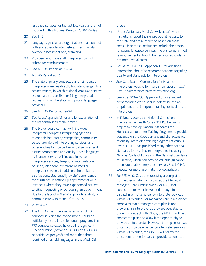language services for the last few years and is not included in this list. *See Medicaid/CHIP Models*.

- 20 *See* fn.2.
- 21 Language agencies are organizations that contract with and schedule interpreters. They may also oversee assessment and/or training.
- 22 Providers who have staff interpreters cannot submit for reimbursement.
- 23 *See* MCLAS Report at 19–24.
- 24 MCLAS Report at 23.
- 25 The state originally contracted and reimbursed interpreter agencies directly but later changed to a broker system, in which regional language services brokers are responsible for filling interpretation requests, billing the state, and paying language providers.
- 26 *See* MCLAS Report at 19–24.
- 27 *See id*. at Appendix I.1 for a fuller explanation of the responsibilities of the broker.
- 28 The broker could contract with individual interpreters, for-profit interpreting agencies, telephonic interpreting companies, communitybased providers of interpreting services, and other entities to provide the actual services and assure competence and quality. These language assistance services will include in-person interpreter services, telephonic interpretation or video/telephone conferencing medical interpreter services. In addition, the broker can also be contacted directly by LEP beneficiaries for assistance in setting up appointments or in instances where they have experienced barriers to either requesting or scheduling an appointment due to the lack of a Medi-Cal provider's ability to communicate with them. *Id*. at 25–27.
- 29 *Id*. at 26–27.
- 30 The MCLAS Task Force included a list of 10 counties in which the hybrid model could be sufficiently tested in a subsequent program. The FFS counties selected have both a significant FFS population (between 50,000 and 300,000 beneficiaries per year) and more than three identified threshold languages in the Medi-Cal

program.

- 31 Under California's Medi-Cal waiver, safety net institutions report their entire operating costs to the state and are reimbursed based on those costs. Since these institutions include their costs for paying language services, there is some limited reimbursement although the reimbursed costs do not meet actual costs.
- 32 *See id*. at 204–205, Appendix I.3 for additional information about the recommendations regarding quality and standards for interpreters.
- 33 *See* Certification Commission for Healthcare Interpreters website for more information: http:// www.healthcareinterpretercertification.org.
- 34 *See id*. at 206–208, Appendix I.3, for standard competencies which should determine the appropriateness of interpreter training for health care interpreters.
- 35 In February 2010, the National Council on Interpreting in Health Care (NCIHC) began its project to develop National Standards for Healthcare Interpreter Training Programs to provide guidance on the development and characteristics of quality interpreter training programs at various levels. NCIHC has published many other national standards for health care interpreters, including a National Code of Ethics and the National Standards of Practice, which can provide valuable guidance to ensure quality interpreter services. *See* NCIHC website for more information: www.ncihc.org.
- 36 For FFS Medi-Cal, upon receiving a complaint from either a patient or provider, the Medi-Cal Managed Care Ombudsman (MMCO) shall contact the relevant broker and arrange for the dispatchment of emergency interpreter services within 30 minutes. For managed care, if a provider complains that a managed care plan is not providing an interpreter as they are obligated to under its contract with DHCS, the MMCO will first contact the plan and allow it the opportunity to provide an interpreter. However, if the plan refuses or cannot provide emergency interpreter services within 30 minutes, the MMCO will follow the procedure for fee-for-service providers: contact the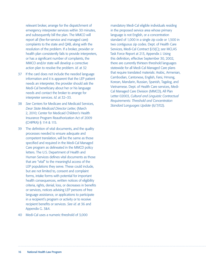relevant broker, arrange for the dispatchment of emergency interpreter services within 30 minutes, and subsequently bill the plan. The MMCO will report all (fee-for-service and managed care) complaints to the state and QAB, along with the resolution of the problem. If a broker, provider or health plan consistently fails to provide interpreters, or has a significant number of complaints, the MMCO and/or state will develop a corrective action plan to resolve the problem. *Id*. at 32

- 37 If the card does not include the needed language information and it is apparent that the LEP patient needs an interpreter, the provider should ask the Medi-Cal beneficiary about her or his language needs and contact the broker to arrange for interpreter services. *Id*. at 32–33.
- 38 *See* Centers for Medicare and Medicaid Services, *Dear State Medicaid Director Letter*, (March 2, 2010; Center for Medicaid Children's Health Insurance Program Reauthorization Act of 2009 (CHIPRA) § 114 & 115.
- 39 The definition of vital documents, and the quality processes needed to ensure adequate and competent translation, will be the same as those specified and required in the Medi-Cal Managed Care program as delineated in the MMCD policy letters. The U.S. Department of Health and Human Services defines vital documents as those that are "vital" to the meaningful access of the LEP populations they serve. These could include, but are not limited to, consent and complaint forms, intake forms with potential for important health consequences, written notices of eligibility criteria, rights, denial, loss, or decreases in benefits or services, notices advising LEP persons of free language assistance, or applications to participate in a recipient's program or activity or to receive recipient benefits or services. *See id*. at 36 and Appendix G. 3&4.

#### 40 Medi-Cal uses a numeric threshold of 3,000

mandatory Medi-Cal eligible individuals residing in the proposed service area whose primary language is not English, or a concentration standard of 1,000 in a single zip code or 1,500 in two contiguous zip codes. Dept. of Health Care Services, Medi-Cal Contract §13(C); *see* MCLAS Task Force Report at 213, Appendix J. Using this definition, effective September 30, 2002, there are currently thirteen threshold languages statewide for all Medi-Cal Managed Care plans that require translated materials: Arabic, Armenian, Cambodian, Cantonese, English, Farsi, Hmong, Korean, Mandarin, Russian, Spanish, Tagalog, and Vietnamese. Dept. of Health Care services, Medi-Cal Managed Care Division (MMCD), All Plan Letter 02003, *Cultural and Linguistic Contractual Requirements: Threshold and Concentration Standard Languages Update* (6/7/02).